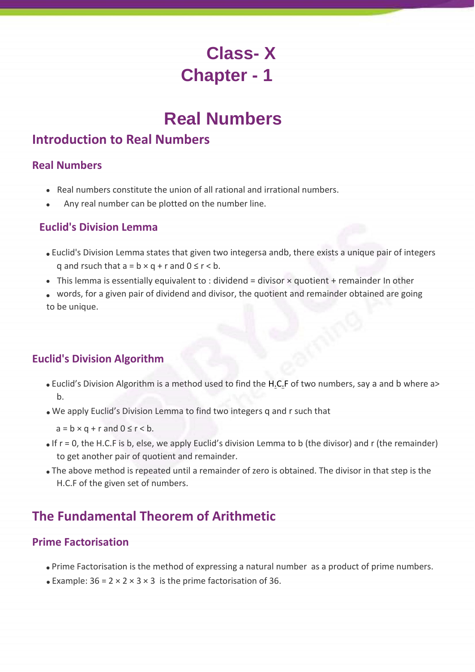# **Class- X Chapter - 1**

# **Real Numbers**

# **Introduction to Real Numbers**

### **Real Numbers**

- Real numbers constitute the union of all rational and irrational numbers.
- Any real number can be plotted on the number line.  $\bullet$

## **Euclid's Division Lemma**

- Euclid's Division Lemma states that given two integersa andb, there exists a unique pair of integers q and rsuch that  $a = b \times q + r$  and  $0 \le r < b$ .
- This lemma is essentially equivalent to : dividend = divisor  $\times$  quotient + remainder In other
- words, for a given pair of dividend and divisor, the quotient and remainder obtained are going to be unique.

# **Euclid's Division Algorithm**

- Euclid's Division Algorithm is a method used to find the H.C.F of two numbers, say a and b where a> b.
- We apply Euclid's Division Lemma to find two integers q and r such that
	- $a = b \times q + r$  and  $0 \le r < b$ .
- $\bullet$  If r = 0, the H.C.F is b, else, we apply Euclid's division Lemma to b (the divisor) and r (the remainder) to get another pair of quotient and remainder.
- The above method is repeated until a remainder of zero is obtained. The divisor in that step is the H.C.F of the given set of numbers.

# **The Fundamental Theorem of Arithmetic**

# **Prime Factorisation**

- Prime Factorisation is the method of expressing a natural number as a product of prime numbers.
- Example:  $36 = 2 \times 2 \times 3 \times 3$  is the prime factorisation of 36.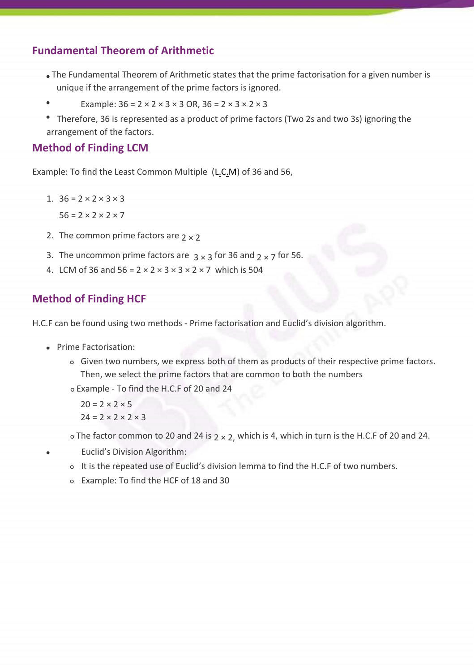### **Fundamental Theorem of Arithmetic**

- The Fundamental Theorem of Arithmetic states that the prime factorisation for a given number is unique if the arrangement of the prime factors is ignored.
- $\bullet$ Example:  $36 = 2 \times 2 \times 3 \times 3$  OR,  $36 = 2 \times 3 \times 2 \times 3$
- Therefore, 36 is represented as a product of prime factors (Two 2s and two 3s) ignoring the arrangement of the factors.

## **Method of Finding LCM**

Example: To find the Least Common Multiple (L.C.M) of 36 and 56,

- 1.  $36 = 2 \times 2 \times 3 \times 3$  $56 = 2 \times 2 \times 2 \times 7$
- 2. The common prime factors are  $2 \times 2$
- 3. The uncommon prime factors are  $3 \times 3$  for 36 and  $2 \times 7$  for 56.
- 4. LCM of 36 and  $56 = 2 \times 2 \times 3 \times 3 \times 2 \times 7$  which is 504

# **Method of Finding HCF**

H.C.F can be found using two methods - Prime factorisation and Euclid's division algorithm.

- Prime Factorisation:
	- Given two numbers, we express both of them as products of their respective prime factors. Then, we select the prime factors that are common to both the numbers

Example - To find the H.C.F of 20 and 24

 $20 = 2 \times 2 \times 5$  $24 = 2 \times 2 \times 2 \times 3$ 

 $\circ$  The factor common to 20 and 24 is  $2 \times 2$ , which is 4, which in turn is the H.C.F of 20 and 24.

- Euclid's Division Algorithm:
	- o It is the repeated use of Euclid's division lemma to find the H.C.F of two numbers.
	- Example: To find the HCF of 18 and 30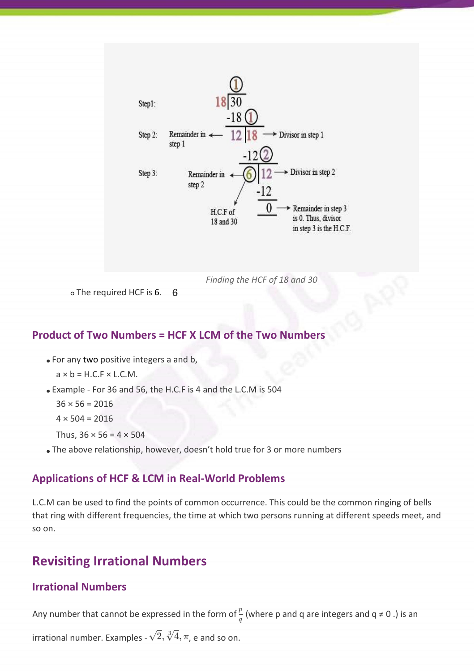

*Finding the HCF of 18 and 30*

o The required HCF is 6. 6

#### **Product of Two Numbers = HCF X LCM of the Two Numbers**

For any two positive integers a and b,

 $a \times b = H.C.F \times L.C.M.$ 

Example - For 36 and 56, the H.C.F is 4 and the L.C.M is 504

 $36 \times 56 = 2016$ 

```
4 \times 504 = 2016
```
Thus,  $36 \times 56 = 4 \times 504$ 

The above relationship, however, doesn't hold true for 3 or more numbers

#### **Applications of HCF & LCM in Real-World Problems**

L.C.M can be used to find the points of common occurrence. This could be the common ringing of bells that ring with different frequencies, the time at which two persons running at different speeds meet, and so on.

# **Revisiting Irrational Numbers**

#### **Irrational Numbers**

Any number that cannot be expressed in the form of  $\frac{p}{q}$  (where p and q are integers and q ≠ 0 .) is an

irrational number. Examples -  $\sqrt{2}$ ,  $\sqrt[3]{4}$ ,  $\pi$ , e and so on.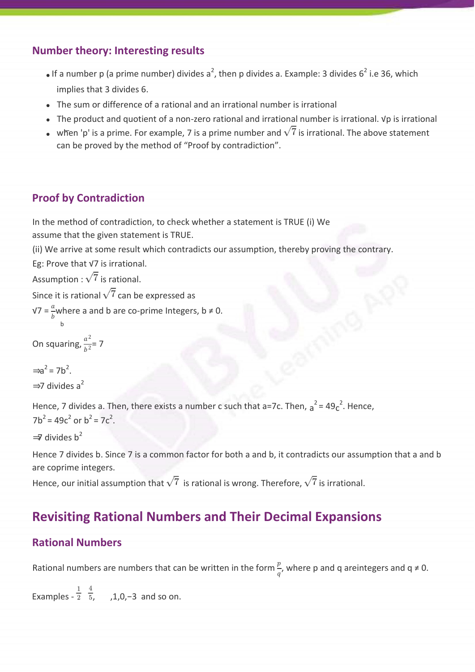# **Number theory: Interesting results**

- If a number p (a prime number) divides a<sup>2</sup>, then p divides a. Example: 3 divides 6<sup>2</sup> i.e 36, which implies that 3 divides 6.
- The sum or difference of a rational and an irrational number is irrational
- The product and quotient of a non-zero rational and irrational number is irrational. √p is irrational
- when 'p' is a prime. For example, 7 is a prime number and  $\sqrt{7}$  is irrational. The above statement can be proved by the method of "Proof by contradiction".

# **Proof by Contradiction**

In the method of contradiction, to check whether a statement is TRUE (i) We assume that the given statement is TRUE.

(ii) We arrive at some result which contradicts our assumption, thereby proving the contrary.

Eg: Prove that √7 is irrational.

Assumption :  $\sqrt{7}$  is rational.

Since it is rational  $\sqrt{7}$  can be expressed as

 $\sqrt{v} = \frac{a}{b}$  where a and b are co-prime Integers, b  $\neq 0$ .

$$
\mathsf{b}
$$

On squaring,  $\frac{a^2}{b^2}$  $\frac{a}{b^2}$  = 7

$$
\Rightarrow a^2 = 7b^2.
$$
  
\n
$$
\Rightarrow 7 \text{ divides } a^2
$$

Hence, 7 divides a. Then, there exists a number c such that a=7c. Then,  $a^2 = 49c^2$ . Hence,  $7b^2 = 49c^2$  or  $b^2 = 7c^2$ .

 $\Rightarrow$  divides b<sup>2</sup>

Hence 7 divides b. Since 7 is a common factor for both a and b, it contradicts our assumption that a and b are coprime integers.

Hence, our initial assumption that  $\sqrt{7}$  is rational is wrong. Therefore,  $\sqrt{7}$  is irrational.

# **Revisiting Rational Numbers and Their Decimal Expansions**

# **Rational Numbers**

Rational numbers are numbers that can be written in the form  $\frac{p}{q}$ , where p and q areintegers and q  $\neq$  0.

Examples -  $\frac{1}{2}$   $\frac{4}{5}$ , ,1,0,–3 and so on.